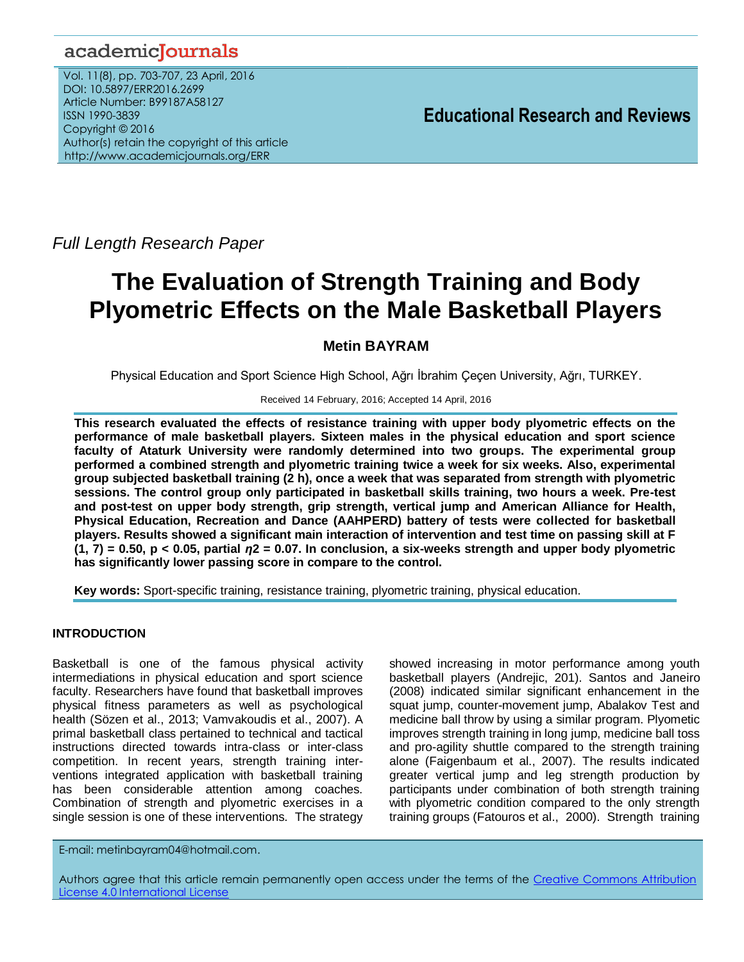# academicJournals

Vol. 11(8), pp. 703-707, 23 April, 2016 DOI: 10.5897/ERR2016.2699 Article Number: B99187A58127 ISSN 1990-3839 Copyright © 2016 Author(s) retain the copyright of this article http://www.academicjournals.org/ERR

*Full Length Research Paper*

# **The Evaluation of Strength Training and Body Plyometric Effects on the Male Basketball Players**

# **Metin BAYRAM**

Physical Education and Sport Science High School, Ağrı İbrahim Çeçen University, Ağrı, TURKEY.

## Received 14 February, 2016; Accepted 14 April, 2016

**This research evaluated the effects of resistance training with upper body plyometric effects on the performance of male basketball players. Sixteen males in the physical education and sport science faculty of Ataturk University were randomly determined into two groups. The experimental group performed a combined strength and plyometric training twice a week for six weeks. Also, experimental group subjected basketball training (2 h), once a week that was separated from strength with plyometric sessions. The control group only participated in basketball skills training, two hours a week. Pre-test and post-test on upper body strength, grip strength, vertical jump and American Alliance for Health, Physical Education, Recreation and Dance (AAHPERD) battery of tests were collected for basketball players. Results showed a significant main interaction of intervention and test time on passing skill at F (1, 7) = 0.50, p < 0.05, partial** *η***2 = 0.07. In conclusion, a six-weeks strength and upper body plyometric has significantly lower passing score in compare to the control.**

**Key words:** Sport-specific training, resistance training, plyometric training, physical education.

# **INTRODUCTION**

Basketball is one of the famous physical activity intermediations in physical education and sport science faculty. Researchers have found that basketball improves physical fitness parameters as well as psychological health (Sözen et al., 2013; Vamvakoudis et al., 2007). A primal basketball class pertained to technical and tactical instructions directed towards intra-class or inter-class competition. In recent years, strength training interventions integrated application with basketball training has been considerable attention among coaches. Combination of strength and plyometric exercises in a single session is one of these interventions. The strategy showed increasing in motor performance among youth basketball players (Andrejic, 201). Santos and Janeiro (2008) indicated similar significant enhancement in the squat jump, counter-movement jump, Abalakov Test and medicine ball throw by using a similar program. Plyometic improves strength training in long jump, medicine ball toss and pro-agility shuttle compared to the strength training alone (Faigenbaum et al., 2007). The results indicated greater vertical jump and leg strength production by participants under combination of both strength training with plyometric condition compared to the only strength training groups (Fatouros et al., 2000). Strength training

E-mail: metinbayram04@hotmail.com.

Authors agree that this article remain permanently open access under the terms of the Creative Commons Attribution [License 4.0 International License](file://192.168.1.24/reading/Arts%20and%20Education/ERR/2014/sept/read/Correction%20Pdf%201/ERR-17.04.14-1816/Publication/Creative%20Co)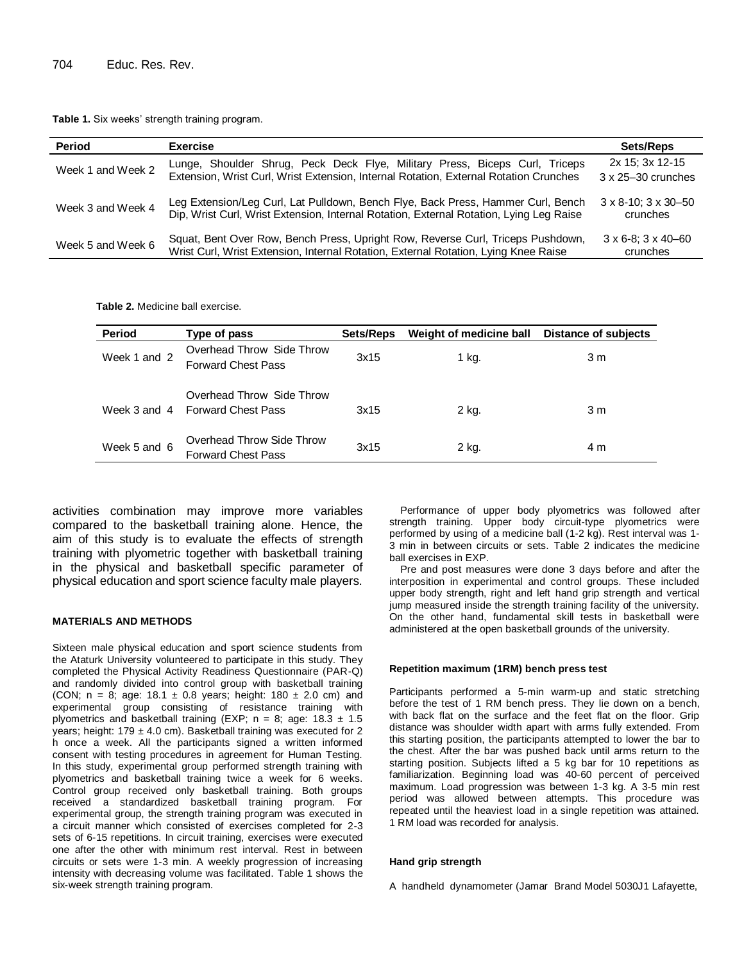#### **Table 1.** Six weeks' strength training program.

| <b>Period</b>     | <b>Exercise</b>                                                                                                                                                             | Sets/Reps                                          |
|-------------------|-----------------------------------------------------------------------------------------------------------------------------------------------------------------------------|----------------------------------------------------|
| Week 1 and Week 2 | Lunge, Shoulder Shrug, Peck Deck Flye, Military Press, Biceps Curl, Triceps<br>Extension, Wrist Curl, Wrist Extension, Internal Rotation, External Rotation Crunches        | 2x 15; 3x 12-15<br>3 x 25-30 crunches              |
| Week 3 and Week 4 | Leg Extension/Leg Curl, Lat Pulldown, Bench Flye, Back Press, Hammer Curl, Bench<br>Dip, Wrist Curl, Wrist Extension, Internal Rotation, External Rotation, Lying Leg Raise | $3 \times 8 - 10$ ; $3 \times 30 - 50$<br>crunches |
| Week 5 and Week 6 | Squat, Bent Over Row, Bench Press, Upright Row, Reverse Curl, Triceps Pushdown,<br>Wrist Curl, Wrist Extension, Internal Rotation, External Rotation, Lying Knee Raise      | $3 \times 6 - 8$ ; $3 \times 40 - 60$<br>crunches  |

**Table 2.** Medicine ball exercise.

| <b>Period</b> | Type of pass                                           | Sets/Reps | Weight of medicine ball | <b>Distance of subjects</b> |
|---------------|--------------------------------------------------------|-----------|-------------------------|-----------------------------|
| Week 1 and 2  | Overhead Throw Side Throw<br><b>Forward Chest Pass</b> | 3x15      | 1 kg.                   | 3 m                         |
| Week 3 and 4  | Overhead Throw Side Throw<br><b>Forward Chest Pass</b> | 3x15      | 2 kg.                   | 3 <sub>m</sub>              |
| Week 5 and 6  | Overhead Throw Side Throw<br><b>Forward Chest Pass</b> | 3x15      | 2 kg.                   | 4 m                         |

activities combination may improve more variables compared to the basketball training alone. Hence, the aim of this study is to evaluate the effects of strength training with plyometric together with basketball training in the physical and basketball specific parameter of physical education and sport science faculty male players.

#### **MATERIALS AND METHODS**

Sixteen male physical education and sport science students from the Ataturk University volunteered to participate in this study. They completed the Physical Activity Readiness Questionnaire (PAR-Q) and randomly divided into control group with basketball training (CON;  $n = 8$ ; age: 18.1  $\pm$  0.8 years; height: 180  $\pm$  2.0 cm) and experimental group consisting of resistance training with plyometrics and basketball training (EXP;  $n = 8$ ; age: 18.3  $\pm$  1.5 years; height:  $179 \pm 4.0$  cm). Basketball training was executed for 2 h once a week. All the participants signed a written informed consent with testing procedures in agreement for Human Testing. In this study, experimental group performed strength training with plyometrics and basketball training twice a week for 6 weeks. Control group received only basketball training. Both groups received a standardized basketball training program. For experimental group, the strength training program was executed in a circuit manner which consisted of exercises completed for 2-3 sets of 6-15 repetitions. In circuit training, exercises were executed one after the other with minimum rest interval. Rest in between circuits or sets were 1-3 min. A weekly progression of increasing intensity with decreasing volume was facilitated. Table 1 shows the six-week strength training program.

Performance of upper body plyometrics was followed after strength training. Upper body circuit-type plyometrics were performed by using of a medicine ball (1-2 kg). Rest interval was 1- 3 min in between circuits or sets. Table 2 indicates the medicine ball exercises in EXP.

Pre and post measures were done 3 days before and after the interposition in experimental and control groups. These included upper body strength, right and left hand grip strength and vertical jump measured inside the strength training facility of the university. On the other hand, fundamental skill tests in basketball were administered at the open basketball grounds of the university.

#### **Repetition maximum (1RM) bench press test**

Participants performed a 5-min warm-up and static stretching before the test of 1 RM bench press. They lie down on a bench, with back flat on the surface and the feet flat on the floor. Grip distance was shoulder width apart with arms fully extended. From this starting position, the participants attempted to lower the bar to the chest. After the bar was pushed back until arms return to the starting position. Subjects lifted a 5 kg bar for 10 repetitions as familiarization. Beginning load was 40-60 percent of perceived maximum. Load progression was between 1-3 kg. A 3-5 min rest period was allowed between attempts. This procedure was repeated until the heaviest load in a single repetition was attained. 1 RM load was recorded for analysis.

#### **Hand grip strength**

A handheld dynamometer (Jamar Brand Model 5030J1 Lafayette,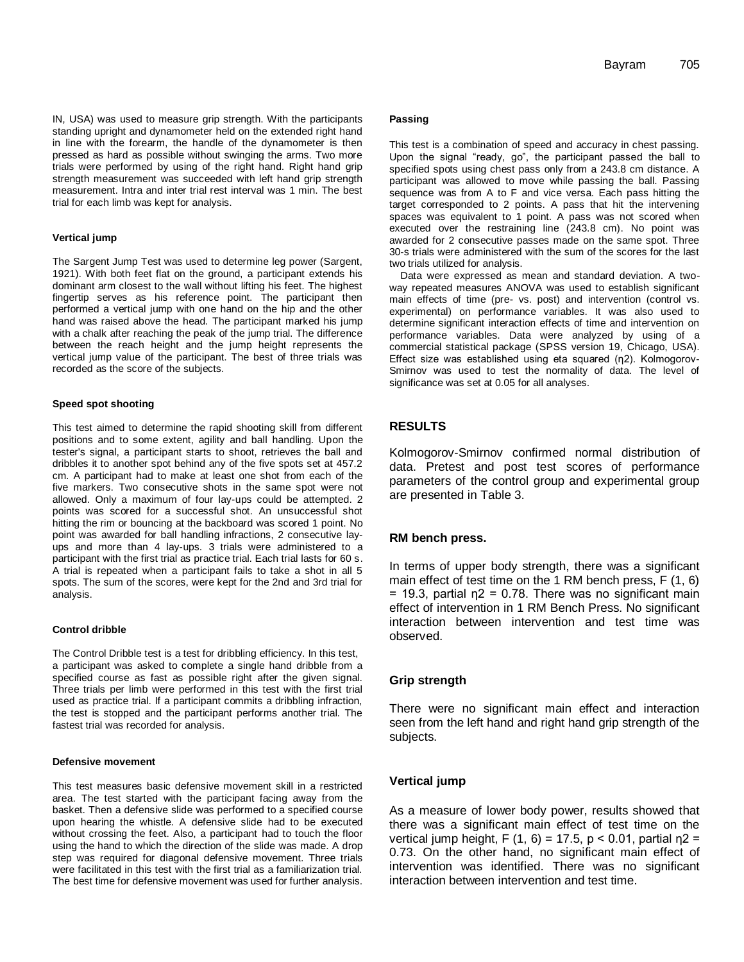IN, USA) was used to measure grip strength. With the participants standing upright and dynamometer held on the extended right hand in line with the forearm, the handle of the dynamometer is then pressed as hard as possible without swinging the arms. Two more trials were performed by using of the right hand. Right hand grip strength measurement was succeeded with left hand grip strength measurement. Intra and inter trial rest interval was 1 min. The best trial for each limb was kept for analysis.

#### **Vertical jump**

The Sargent Jump Test was used to determine leg power (Sargent, 1921). With both feet flat on the ground, a participant extends his dominant arm closest to the wall without lifting his feet. The highest fingertip serves as his reference point. The participant then performed a vertical jump with one hand on the hip and the other hand was raised above the head. The participant marked his jump with a chalk after reaching the peak of the jump trial. The difference between the reach height and the jump height represents the vertical jump value of the participant. The best of three trials was recorded as the score of the subjects.

#### **Speed spot shooting**

This test aimed to determine the rapid shooting skill from different positions and to some extent, agility and ball handling. Upon the tester's signal, a participant starts to shoot, retrieves the ball and dribbles it to another spot behind any of the five spots set at 457.2 cm. A participant had to make at least one shot from each of the five markers. Two consecutive shots in the same spot were not allowed. Only a maximum of four lay-ups could be attempted. 2 points was scored for a successful shot. An unsuccessful shot hitting the rim or bouncing at the backboard was scored 1 point. No point was awarded for ball handling infractions, 2 consecutive layups and more than 4 lay-ups. 3 trials were administered to a participant with the first trial as practice trial. Each trial lasts for 60 s. A trial is repeated when a participant fails to take a shot in all 5 spots. The sum of the scores, were kept for the 2nd and 3rd trial for analysis.

## **Control dribble**

The Control Dribble test is a test for dribbling efficiency. In this test, a participant was asked to complete a single hand dribble from a specified course as fast as possible right after the given signal. Three trials per limb were performed in this test with the first trial used as practice trial. If a participant commits a dribbling infraction, the test is stopped and the participant performs another trial. The fastest trial was recorded for analysis.

#### **Defensive movement**

This test measures basic defensive movement skill in a restricted area. The test started with the participant facing away from the basket. Then a defensive slide was performed to a specified course upon hearing the whistle. A defensive slide had to be executed without crossing the feet. Also, a participant had to touch the floor using the hand to which the direction of the slide was made. A drop step was required for diagonal defensive movement. Three trials were facilitated in this test with the first trial as a familiarization trial. The best time for defensive movement was used for further analysis.

#### **Passing**

This test is a combination of speed and accuracy in chest passing. Upon the signal "ready, go", the participant passed the ball to specified spots using chest pass only from a 243.8 cm distance. A participant was allowed to move while passing the ball. Passing sequence was from A to F and vice versa. Each pass hitting the target corresponded to 2 points. A pass that hit the intervening spaces was equivalent to 1 point. A pass was not scored when executed over the restraining line (243.8 cm). No point was awarded for 2 consecutive passes made on the same spot. Three 30-s trials were administered with the sum of the scores for the last two trials utilized for analysis.

Data were expressed as mean and standard deviation. A twoway repeated measures ANOVA was used to establish significant main effects of time (pre- vs. post) and intervention (control vs. experimental) on performance variables. It was also used to determine significant interaction effects of time and intervention on performance variables. Data were analyzed by using of a commercial statistical package (SPSS version 19, Chicago, USA). Effect size was established using eta squared (η2). Kolmogorov-Smirnov was used to test the normality of data. The level of significance was set at 0.05 for all analyses.

# **RESULTS**

Kolmogorov-Smirnov confirmed normal distribution of data. Pretest and post test scores of performance parameters of the control group and experimental group are presented in Table 3.

# **RM bench press.**

In terms of upper body strength, there was a significant main effect of test time on the 1 RM bench press, F (1, 6)  $= 19.3$ , partial  $\eta$ 2 = 0.78. There was no significant main effect of intervention in 1 RM Bench Press. No significant interaction between intervention and test time was observed.

# **Grip strength**

There were no significant main effect and interaction seen from the left hand and right hand grip strength of the subjects.

# **Vertical jump**

As a measure of lower body power, results showed that there was a significant main effect of test time on the vertical jump height, F  $(1, 6) = 17.5$ , p < 0.01, partial η2 = 0.73. On the other hand, no significant main effect of intervention was identified. There was no significant interaction between intervention and test time.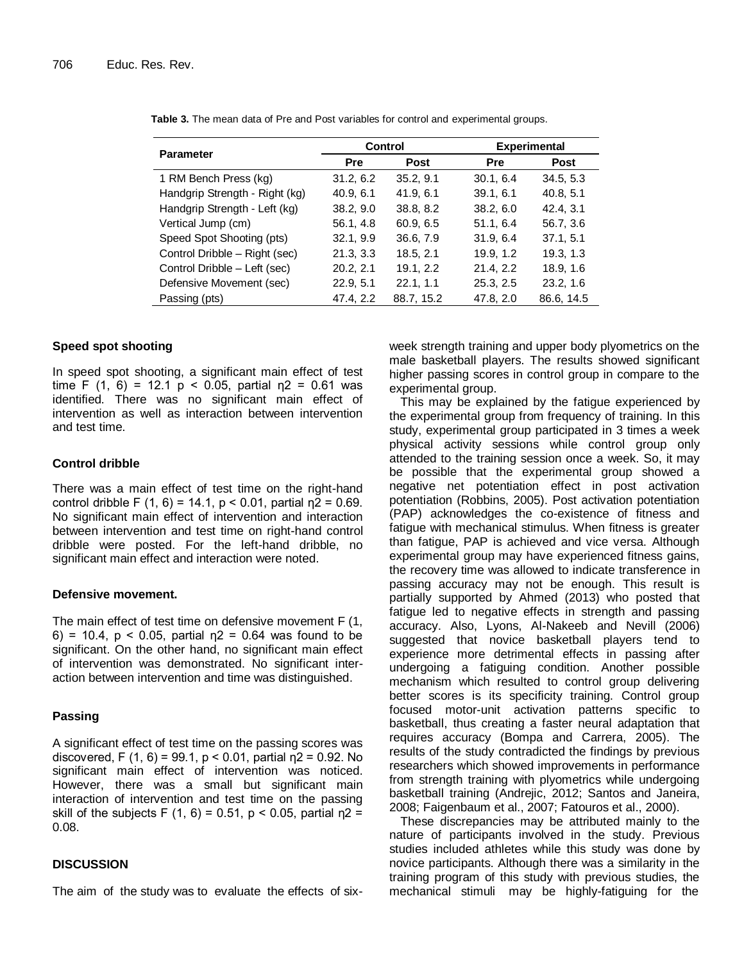| <b>Parameter</b>               | <b>Control</b> |            | <b>Experimental</b> |             |
|--------------------------------|----------------|------------|---------------------|-------------|
|                                | Pre            | Post       | Pre                 | <b>Post</b> |
| 1 RM Bench Press (kg)          | 31.2, 6.2      | 35.2, 9.1  | 30.1, 6.4           | 34.5, 5.3   |
| Handgrip Strength - Right (kg) | 40.9, 6.1      | 41.9, 6.1  | 39.1, 6.1           | 40.8, 5.1   |
| Handgrip Strength - Left (kg)  | 38.2, 9.0      | 38.8, 8.2  | 38.2, 6.0           | 42.4, 3.1   |
| Vertical Jump (cm)             | 56.1, 4.8      | 60.9, 6.5  | 51.1, 6.4           | 56.7, 3.6   |
| Speed Spot Shooting (pts)      | 32.1, 9.9      | 36.6, 7.9  | 31.9, 6.4           | 37.1, 5.1   |
| Control Dribble - Right (sec)  | 21.3, 3.3      | 18.5, 2.1  | 19.9, 1.2           | 19.3, 1.3   |
| Control Dribble - Left (sec)   | 20.2, 2.1      | 19.1, 2.2  | 21.4, 2.2           | 18.9, 1.6   |
| Defensive Movement (sec)       | 22.9, 5.1      | 22.1, 1.1  | 25.3, 2.5           | 23.2, 1.6   |
| Passing (pts)                  | 47.4, 2.2      | 88.7, 15.2 | 47.8, 2.0           | 86.6, 14.5  |

**Table 3.** The mean data of Pre and Post variables for control and experimental groups.

# **Speed spot shooting**

In speed spot shooting, a significant main effect of test time F (1, 6) = 12.1 p < 0.05, partial  $n^2$  = 0.61 was identified. There was no significant main effect of intervention as well as interaction between intervention and test time.

## **Control dribble**

There was a main effect of test time on the right-hand control dribble F (1, 6) = 14.1,  $p < 0.01$ , partial η2 = 0.69. No significant main effect of intervention and interaction between intervention and test time on right-hand control dribble were posted. For the left-hand dribble, no significant main effect and interaction were noted.

## **Defensive movement.**

The main effect of test time on defensive movement F (1, 6) = 10.4,  $p < 0.05$ , partial  $n2 = 0.64$  was found to be significant. On the other hand, no significant main effect of intervention was demonstrated. No significant interaction between intervention and time was distinguished.

# **Passing**

A significant effect of test time on the passing scores was discovered, F (1, 6) = 99.1,  $p < 0.01$ , partial  $n^2 = 0.92$ . No significant main effect of intervention was noticed. However, there was a small but significant main interaction of intervention and test time on the passing skill of the subjects F (1, 6) = 0.51,  $p < 0.05$ , partial  $p =$ 0.08.

# **DISCUSSION**

The aim of the study was to evaluate the effects of six-

week strength training and upper body plyometrics on the male basketball players. The results showed significant higher passing scores in control group in compare to the experimental group.

This may be explained by the fatigue experienced by the experimental group from frequency of training. In this study, experimental group participated in 3 times a week physical activity sessions while control group only attended to the training session once a week. So, it may be possible that the experimental group showed a negative net potentiation effect in post activation potentiation (Robbins, 2005). Post activation potentiation (PAP) acknowledges the co-existence of fitness and fatigue with mechanical stimulus. When fitness is greater than fatigue, PAP is achieved and vice versa. Although experimental group may have experienced fitness gains, the recovery time was allowed to indicate transference in passing accuracy may not be enough. This result is partially supported by Ahmed (2013) who posted that fatigue led to negative effects in strength and passing accuracy. Also, Lyons, Al-Nakeeb and Nevill (2006) suggested that novice basketball players tend to experience more detrimental effects in passing after undergoing a fatiguing condition. Another possible mechanism which resulted to control group delivering better scores is its specificity training. Control group focused motor-unit activation patterns specific to basketball, thus creating a faster neural adaptation that requires accuracy (Bompa and Carrera, 2005). The results of the study contradicted the findings by previous researchers which showed improvements in performance from strength training with plyometrics while undergoing basketball training (Andrejic, 2012; Santos and Janeira, 2008; Faigenbaum et al., 2007; Fatouros et al., 2000).

These discrepancies may be attributed mainly to the nature of participants involved in the study. Previous studies included athletes while this study was done by novice participants. Although there was a similarity in the training program of this study with previous studies, the mechanical stimuli may be highly-fatiguing for the